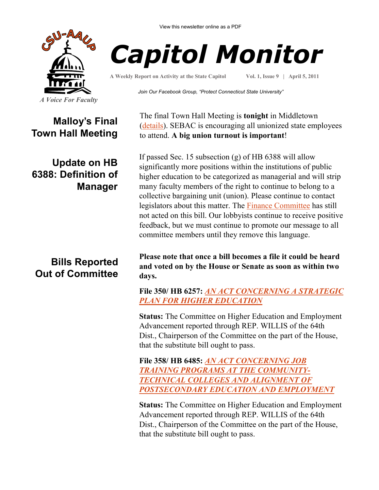

View this newsletter online as a PDF



**A Weekly Report on Activity at the State Capitol**

**Vol. 1, Issue 9 | April 5, 2011**

*Join Our Facebook Group, "Protect Connecticut State University"*

**Malloy's Final Town Hall Meeting**

# **Update on HB 6388: Definition of Manager**

# **Bills Reported Out of Committee**

The final Town Hall Meeting is **tonight** in Middletown ([details\)](http://www.csuaaup.org/wp-content/uploads/2011/04/GOVFORUMFLYR.pdf). SEBAC is encouraging all unionized state employees to attend. **A big union turnout is important**!

If passed Sec. 15 subsection (g) of HB 6388 will allow significantly more positions within the institutions of public higher education to be categorized as managerial and will strip many faculty members of the right to continue to belong to a collective bargaining unit (union). Please continue to contact legislators about this matter. The [Finance Committee](http://www.cga.ct.gov/asp/menu/MemberList.asp?comm_code=FIN) has still not acted on this bill. Our lobbyists continue to receive positive feedback, but we must continue to promote our message to all committee members until they remove this language.

**Please note that once a bill becomes a file it could be heard and voted on by the House or Senate as soon as within two days.**

**File 350/ HB 6257:** *[AN ACT CONCERNING A STRATEGIC](http://www.cga.ct.gov/2011/FC/2011HB-06257-R000350-FC.htm)  [PLAN FOR HIGHER EDUCATION](http://www.cga.ct.gov/2011/FC/2011HB-06257-R000350-FC.htm)*

**Status:** The Committee on Higher Education and Employment Advancement reported through REP. WILLIS of the 64th Dist., Chairperson of the Committee on the part of the House, that the substitute bill ought to pass.

**File 358/ HB 6485:** *[AN ACT CONCERNING JOB](http://www.cga.ct.gov/2011/FC/2011HB-06485-R000358-FC.htm)  [TRAINING PROGRAMS AT THE COMMUNITY-](http://www.cga.ct.gov/2011/FC/2011HB-06485-R000358-FC.htm)[TECHNICAL COLLEGES AND ALIGNMENT OF](http://www.cga.ct.gov/2011/FC/2011HB-06485-R000358-FC.htm)  [POSTSECONDARY EDUCATION AND EMPLOYMENT](http://www.cga.ct.gov/2011/FC/2011HB-06485-R000358-FC.htm)*

**Status:** The Committee on Higher Education and Employment Advancement reported through REP. WILLIS of the 64th Dist., Chairperson of the Committee on the part of the House, that the substitute bill ought to pass.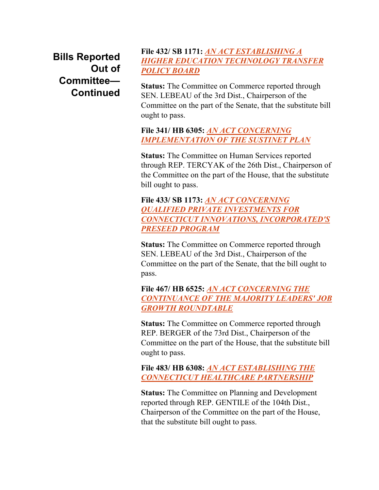**Bills Reported Out of Committee— Continued**

#### **File 432/ SB 1171:** *[AN ACT ESTABLISHING A](http://www.cga.ct.gov/2011/FC/2011SB-01171-R000432-FC.htm)  [HIGHER EDUCATION TECHNOLOGY TRANSFER](http://www.cga.ct.gov/2011/FC/2011SB-01171-R000432-FC.htm)  [POLICY BOARD](http://www.cga.ct.gov/2011/FC/2011SB-01171-R000432-FC.htm)*

**Status:** The Committee on Commerce reported through SEN. LEBEAU of the 3rd Dist., Chairperson of the Committee on the part of the Senate, that the substitute bill ought to pass.

#### **File 341/ HB 6305:** *[AN ACT CONCERNING](http://www.cga.ct.gov/2011/FC/2011HB-06305-R000341-FC.htm)  [IMPLEMENTATION OF THE SUSTINET PLAN](http://www.cga.ct.gov/2011/FC/2011HB-06305-R000341-FC.htm)*

**Status:** The Committee on Human Services reported through REP. TERCYAK of the 26th Dist., Chairperson of the Committee on the part of the House, that the substitute bill ought to pass.

### **File 433/ SB 1173:** *[AN ACT CONCERNING](http://www.cga.ct.gov/2011/FC/2011SB-01173-R000433-FC.htm)  [QUALIFIED PRIVATE INVESTMENTS FOR](http://www.cga.ct.gov/2011/FC/2011SB-01173-R000433-FC.htm)  [CONNECTICUT INNOVATIONS, INCORPORATED'S](http://www.cga.ct.gov/2011/FC/2011SB-01173-R000433-FC.htm)  [PRESEED PROGRAM](http://www.cga.ct.gov/2011/FC/2011SB-01173-R000433-FC.htm)*

**Status:** The Committee on Commerce reported through SEN. LEBEAU of the 3rd Dist., Chairperson of the Committee on the part of the Senate, that the bill ought to pass.

**File 467/ HB 6525:** *[AN ACT CONCERNING THE](http://www.cga.ct.gov/2011/FC/2011HB-06525-R000467-FC.htm)  [CONTINUANCE OF THE MAJORITY LEADERS' JOB](http://www.cga.ct.gov/2011/FC/2011HB-06525-R000467-FC.htm)  [GROWTH ROUNDTABLE](http://www.cga.ct.gov/2011/FC/2011HB-06525-R000467-FC.htm)*

**Status:** The Committee on Commerce reported through REP. BERGER of the 73rd Dist., Chairperson of the Committee on the part of the House, that the substitute bill ought to pass.

**File 483/ HB 6308:** *[AN ACT ESTABLISHING THE](http://www.cga.ct.gov/2011/FC/2011HB-06308-R000483-FC.htm)  [CONNECTICUT HEALTHCARE PARTNERSHIP](http://www.cga.ct.gov/2011/FC/2011HB-06308-R000483-FC.htm)*

**Status:** The Committee on Planning and Development reported through REP. GENTILE of the 104th Dist., Chairperson of the Committee on the part of the House, that the substitute bill ought to pass.